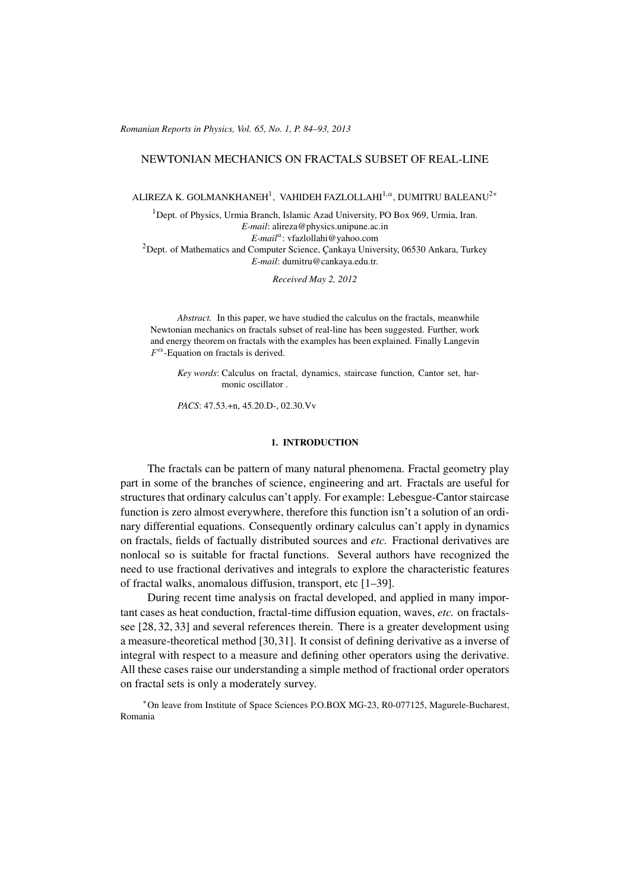(c) RRP 65(No. 1) 84–93 2013 *Romanian Reports in Physics, Vol. 65, No. 1, P. 84–93, 2013*

### NEWTONIAN MECHANICS ON FRACTALS SUBSET OF REAL-LINE

ALIREZA K. GOLMANKHANEH<sup>1</sup>, VAHIDEH FAZLOLLAHI<sup>1,a</sup>, DUMITRU BALEANU<sup>2∗</sup>

<sup>1</sup>Dept. of Physics, Urmia Branch, Islamic Azad University, PO Box 969, Urmia, Iran. *E-mail*: alireza@physics.unipune.ac.in *E-mail<sup>a</sup>* : vfazlollahi@yahoo.com <sup>2</sup> Dept. of Mathematics and Computer Science, Cankaya University, 06530 Ankara, Turkey *E-mail*: dumitru@cankaya.edu.tr.

*Received May 2, 2012*

*Abstract.* In this paper, we have studied the calculus on the fractals, meanwhile Newtonian mechanics on fractals subset of real-line has been suggested. Further, work and energy theorem on fractals with the examples has been explained. Finally Langevin  $F^{\alpha}$ -Equation on fractals is derived.

*Key words*: Calculus on fractal, dynamics, staircase function, Cantor set, harmonic oscillator .

*PACS*: 47.53.+n, 45.20.D-, 02.30.Vv

#### 1. INTRODUCTION

The fractals can be pattern of many natural phenomena. Fractal geometry play part in some of the branches of science, engineering and art. Fractals are useful for structures that ordinary calculus can't apply. For example: Lebesgue-Cantor staircase function is zero almost everywhere, therefore this function isn't a solution of an ordinary differential equations. Consequently ordinary calculus can't apply in dynamics on fractals, fields of factually distributed sources and *etc.* Fractional derivatives are nonlocal so is suitable for fractal functions. Several authors have recognized the need to use fractional derivatives and integrals to explore the characteristic features of fractal walks, anomalous diffusion, transport, etc [1–39].

During recent time analysis on fractal developed, and applied in many important cases as heat conduction, fractal-time diffusion equation, waves, *etc.* on fractalssee [28, 32, 33] and several references therein. There is a greater development using a measure-theoretical method [30,31]. It consist of defining derivative as a inverse of integral with respect to a measure and defining other operators using the derivative. All these cases raise our understanding a simple method of fractional order operators on fractal sets is only a moderately survey.

*∗*On leave from Institute of Space Sciences P.O.BOX MG-23, R0-077125, Magurele-Bucharest, Romania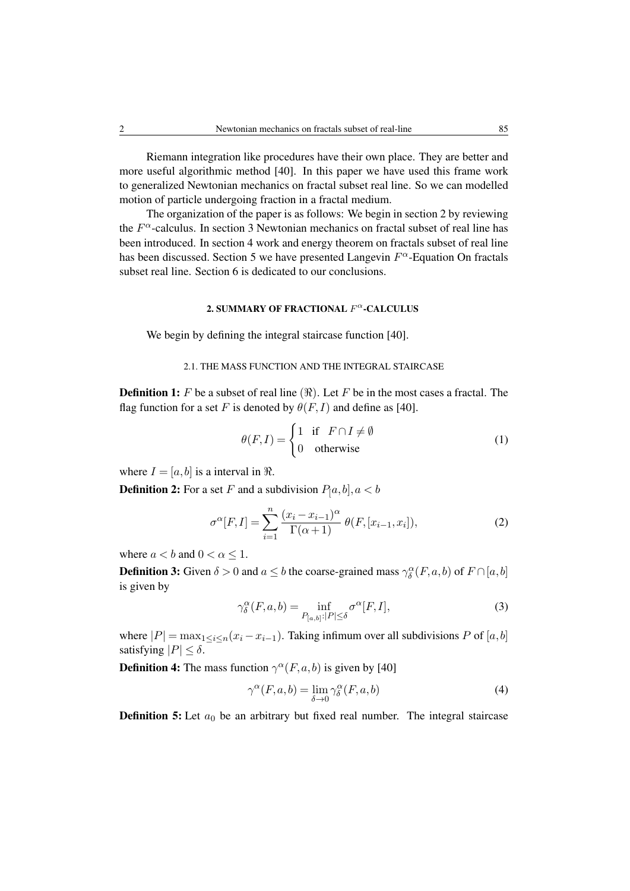Riemann integration like procedures have their own place. They are better and more useful algorithmic method [40]. In this paper we have used this frame work to generalized Newtonian mechanics on fractal subset real line. So we can modelled motion of particle undergoing fraction in a fractal medium.

The organization of the paper is as follows: We begin in section 2 by reviewing the *F <sup>α</sup>*-calculus. In section 3 Newtonian mechanics on fractal subset of real line has been introduced. In section 4 work and energy theorem on fractals subset of real line has been discussed. Section 5 we have presented Langevin *F <sup>α</sup>*-Equation On fractals subset real line. Section 6 is dedicated to our conclusions.

### 2. SUMMARY OF FRACTIONAL *F <sup>α</sup>*-CALCULUS

We begin by defining the integral staircase function [40].

# 2.1. THE MASS FUNCTION AND THE INTEGRAL STAIRCASE

**Definition 1:** *F* be a subset of real line  $(\Re)$ . Let *F* be in the most cases a fractal. The flag function for a set *F* is denoted by  $\theta(F, I)$  and define as [40].

$$
\theta(F, I) = \begin{cases} 1 & \text{if } F \cap I \neq \emptyset \\ 0 & \text{otherwise} \end{cases}
$$
 (1)

where  $I = [a, b]$  is a interval in  $\Re$ .

**Definition 2:** For a set *F* and a subdivision  $P_1a, b$ *, a < b* 

$$
\sigma^{\alpha}[F, I] = \sum_{i=1}^{n} \frac{(x_i - x_{i-1})^{\alpha}}{\Gamma(\alpha + 1)} \theta(F, [x_{i-1}, x_i]),
$$
\n(2)

where  $a < b$  and  $0 < \alpha \leq 1$ .

**Definition 3:** Given  $\delta > 0$  and  $a \leq b$  the coarse-grained mass  $\gamma_{\delta}^{\alpha}(F, a, b)$  of  $F \cap [a, b]$ is given by

$$
\gamma_{\delta}^{\alpha}(F,a,b) = \inf_{P_{[a,b]} : |P| \le \delta} \sigma^{\alpha}[F, I],\tag{3}
$$

where  $|P| = \max_{1 \leq i \leq n}(x_i - x_{i-1})$ . Taking infimum over all subdivisions *P* of [*a, b*] satisfying  $|P| \leq \delta$ .

**Definition 4:** The mass function  $\gamma^{\alpha}(F, a, b)$  is given by [40]

$$
\gamma^{\alpha}(F, a, b) = \lim_{\delta \to 0} \gamma^{\alpha}_{\delta}(F, a, b)
$$
\n(4)

**Definition 5:** Let  $a_0$  be an arbitrary but fixed real number. The integral staircase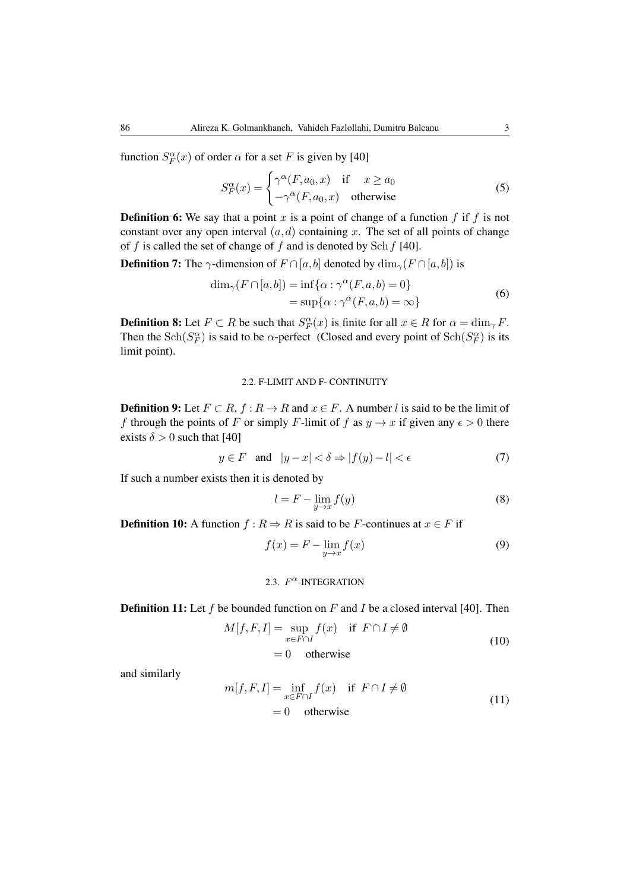function  $S_F^{\alpha}(x)$  of order  $\alpha$  for a set *F* is given by [40]

$$
S_F^{\alpha}(x) = \begin{cases} \gamma^{\alpha}(F, a_0, x) & \text{if } x \ge a_0 \\ -\gamma^{\alpha}(F, a_0, x) & \text{otherwise} \end{cases}
$$
(5)

**Definition 6:** We say that a point x is a point of change of a function  $f$  if  $f$  is not constant over any open interval  $(a, d)$  containing x. The set of all points of change of *f* is called the set of change of *f* and is denoted by Sch*f* [40].

**Definition 7:** The  $\gamma$ -dimension of  $F \cap [a, b]$  denoted by  $\dim_{\gamma}(F \cap [a, b])$  is

$$
\dim_{\gamma}(F \cap [a, b]) = \inf \{ \alpha : \gamma^{\alpha}(F, a, b) = 0 \}
$$
  
=  $\sup \{ \alpha : \gamma^{\alpha}(F, a, b) = \infty \}$  (6)

**Definition 8:** Let  $F \subset R$  be such that  $S_F^{\alpha}(x)$  is finite for all  $x \in R$  for  $\alpha = \dim_{\gamma} F$ . Then the Sch( $S_F^{\alpha}$ ) is said to be *α*-perfect (Closed and every point of Sch( $S_F^{\alpha}$ ) is its limit point).

#### 2.2. F-LIMIT AND F- CONTINUITY

**Definition 9:** Let  $F \subset R$ ,  $f : R \to R$  and  $x \in F$ . A number *l* is said to be the limit of *f* through the points of *F* or simply *F*-limit of *f* as  $y \to x$  if given any  $\epsilon > 0$  there exists  $\delta > 0$  such that [40]

$$
y \in F \quad \text{and} \quad |y - x| < \delta \Rightarrow |f(y) - l| < \epsilon \tag{7}
$$

If such a number exists then it is denoted by

$$
l = F - \lim_{y \to x} f(y) \tag{8}
$$

**Definition 10:** A function  $f : R \Rightarrow R$  is said to be *F*-continues at  $x \in F$  if

$$
f(x) = F - \lim_{y \to x} f(x) \tag{9}
$$

### 2.3. *F <sup>α</sup>*-INTEGRATION

Definition 11: Let *f* be bounded function on *F* and *I* be a closed interval [40]. Then

$$
M[f, F, I] = \sup_{x \in F \cap I} f(x) \quad \text{if } F \cap I \neq \emptyset
$$
  
= 0 otherwise (10)

and similarly

$$
m[f, F, I] = \inf_{x \in F \cap I} f(x) \quad \text{if } F \cap I \neq \emptyset
$$
  
= 0 otherwise (11)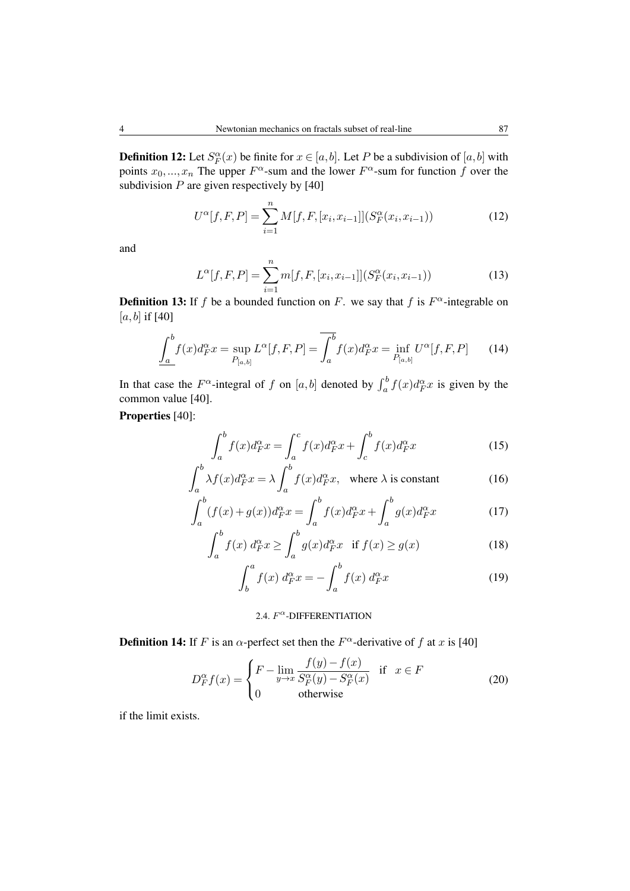**Definition 12:** Let  $S_F^{\alpha}(x)$  be finite for  $x \in [a, b]$ . Let *P* be a subdivision of  $[a, b]$  with points  $x_0, \ldots, x_n$  The upper  $F^{\alpha}$ -sum and the lower  $F^{\alpha}$ -sum for function  $f$  over the subdivision *P* are given respectively by [40]

$$
U^{\alpha}[f, F, P] = \sum_{i=1}^{n} M[f, F, [x_i, x_{i-1}]](S_F^{\alpha}(x_i, x_{i-1}))
$$
\n(12)

and

$$
L^{\alpha}[f, F, P] = \sum_{i=1}^{n} m[f, F, [x_i, x_{i-1}]](S_F^{\alpha}(x_i, x_{i-1}))
$$
\n(13)

**Definition 13:** If *f* be a bounded function on *F*. we say that *f* is  $F^{\alpha}$ -integrable on  $[a, b]$  if [40]

$$
\underline{\int_{a}^{b} f(x) d_{F}^{\alpha} x = \sup_{P_{[a,b]}} L^{\alpha}[f, F, P]} = \overline{\int_{a}^{b} f(x) d_{F}^{\alpha} x = \inf_{P_{[a,b]}} U^{\alpha}[f, F, P]} \tag{14}
$$

In that case the  $F^{\alpha}$ -integral of *f* on [*a, b*] denoted by  $\int_a^b f(x) d_F^{\alpha} x$  is given by the common value [40].

Properties [40]:

$$
\int_{a}^{b} f(x)d_{F}^{\alpha}x = \int_{a}^{c} f(x)d_{F}^{\alpha}x + \int_{c}^{b} f(x)d_{F}^{\alpha}x \tag{15}
$$

$$
\int_{a}^{b} \lambda f(x) d_{F}^{\alpha} x = \lambda \int_{a}^{b} f(x) d_{F}^{\alpha} x, \text{ where } \lambda \text{ is constant}
$$
 (16)

$$
\int_{a}^{b} (f(x) + g(x))d_F^{\alpha} x = \int_{a}^{b} f(x)d_F^{\alpha} x + \int_{a}^{b} g(x)d_F^{\alpha} x \tag{17}
$$

$$
\int_{a}^{b} f(x) d_{F}^{\alpha} x \ge \int_{a}^{b} g(x) d_{F}^{\alpha} x \quad \text{if } f(x) \ge g(x) \tag{18}
$$

$$
\int_{b}^{a} f(x) d_{F}^{\alpha} x = -\int_{a}^{b} f(x) d_{F}^{\alpha} x \tag{19}
$$

2.4. *F <sup>α</sup>*-DIFFERENTIATION

**Definition 14:** If *F* is an  $\alpha$ -perfect set then the  $F^{\alpha}$ -derivative of *f* at *x* is [40]

$$
D_{F}^{\alpha}f(x) = \begin{cases} F - \lim_{y \to x} \frac{f(y) - f(x)}{S_{F}^{\alpha}(y) - S_{F}^{\alpha}(x)} & \text{if } x \in F \\ 0 & \text{otherwise} \end{cases}
$$
 (20)

if the limit exists.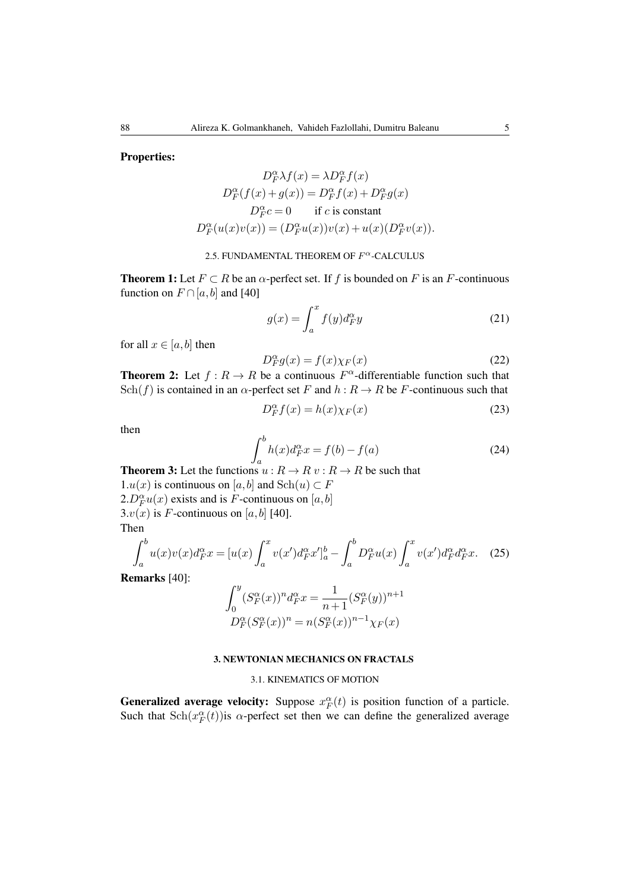Properties:

$$
D_F^{\alpha} \lambda f(x) = \lambda D_F^{\alpha} f(x)
$$

$$
D_F^{\alpha} (f(x) + g(x)) = D_F^{\alpha} f(x) + D_F^{\alpha} g(x)
$$

$$
D_F^{\alpha} c = 0 \quad \text{if } c \text{ is constant}
$$

$$
D_F^{\alpha} (u(x)v(x)) = (D_F^{\alpha} u(x))v(x) + u(x)(D_F^{\alpha} v(x)).
$$

### 2.5. FUNDAMENTAL THEOREM OF *F <sup>α</sup>*-CALCULUS

**Theorem 1:** Let  $F \subset R$  be an  $\alpha$ -perfect set. If f is bounded on F is an F-continuous function on  $F \cap [a, b]$  and [40]

$$
g(x) = \int_{a}^{x} f(y)d_{F}^{\alpha}y
$$
 (21)

for all  $x \in [a, b]$  then

$$
D_F^{\alpha} g(x) = f(x) \chi_F(x) \tag{22}
$$

**Theorem 2:** Let  $f: R \to R$  be a continuous  $F^{\alpha}$ -differentiable function such that Sch(*f*) is contained in an  $\alpha$ -perfect set *F* and  $h : R \to R$  be *F*-continuous such that

$$
D_F^{\alpha} f(x) = h(x) \chi_F(x) \tag{23}
$$

then

$$
\int_{a}^{b} h(x)d_{F}^{\alpha}x = f(b) - f(a)
$$
 (24)

**Theorem 3:** Let the functions  $u: R \to R$   $v: R \to R$  be such that 1.*u*(*x*) is continuous on [*a, b*] and Sch(*u*) ⊂ *F*  $2.D_F^{\alpha}u(x)$  exists and is *F*-continuous on [*a*,*b*] 3. $v(x)$  is *F*-continuous on [a, b] [40]. Then

$$
\int_{a}^{b} u(x)v(x)d_F^{\alpha}x = [u(x)\int_{a}^{x} v(x')d_F^{\alpha}x']_{a}^{b} - \int_{a}^{b} D_F^{\alpha}u(x)\int_{a}^{x} v(x')d_F^{\alpha}d_F^{\alpha}x. \quad (25)
$$

Remarks [40]:

$$
\int_0^y (S_F^{\alpha}(x))^n d_F^{\alpha} x = \frac{1}{n+1} (S_F^{\alpha}(y))^{n+1}
$$
  

$$
D_F^{\alpha}(S_F^{\alpha}(x))^n = n (S_F^{\alpha}(x))^{n-1} \chi_F(x)
$$

#### 3. NEWTONIAN MECHANICS ON FRACTALS

#### 3.1. KINEMATICS OF MOTION

**Generalized average velocity:** Suppose  $x_F^{\alpha}(t)$  is position function of a particle. Such that  $\text{Sch}(x_F^{\alpha}(t))$  is *α*-perfect set then we can define the generalized average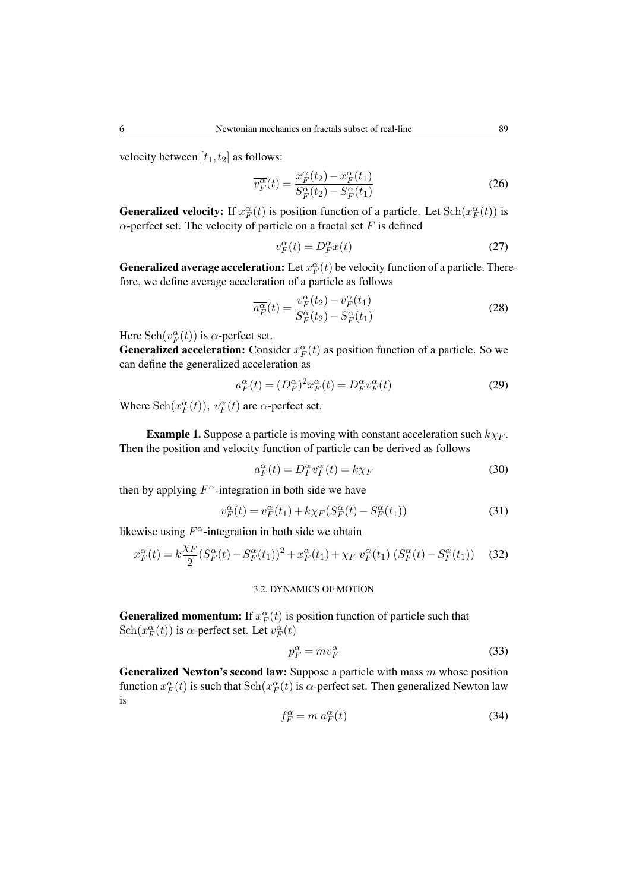velocity between  $[t_1, t_2]$  as follows:

$$
\overline{v_F^{\alpha}}(t) = \frac{x_F^{\alpha}(t_2) - x_F^{\alpha}(t_1)}{S_F^{\alpha}(t_2) - S_F^{\alpha}(t_1)}
$$
(26)

**Generalized velocity:** If  $x_F^{\alpha}(t)$  is position function of a particle. Let  $\text{Sch}(x_F^{\alpha}(t))$  is *α*-perfect set. The velocity of particle on a fractal set  $F$  is defined

$$
v_F^{\alpha}(t) = D_F^{\alpha}(t)
$$
 (27)

**Generalized average acceleration:** Let  $x_F^{\alpha}(t)$  be velocity function of a particle. Therefore, we define average acceleration of a particle as follows

$$
\overline{a_F^{\alpha}}(t) = \frac{v_F^{\alpha}(t_2) - v_F^{\alpha}(t_1)}{S_F^{\alpha}(t_2) - S_F^{\alpha}(t_1)}
$$
\n(28)

Here  $\text{Sch}(v_F^{\alpha}(t))$  is  $\alpha$ -perfect set.

**Generalized acceleration:** Consider  $x_F^{\alpha}(t)$  as position function of a particle. So we can define the generalized acceleration as

$$
a_F^{\alpha}(t) = (D_F^{\alpha})^2 x_F^{\alpha}(t) = D_F^{\alpha} v_F^{\alpha}(t)
$$
\n(29)

Where  $\text{Sch}(x_F^{\alpha}(t))$ ,  $v_F^{\alpha}(t)$  are  $\alpha$ -perfect set.

Example 1. Suppose a particle is moving with constant acceleration such *kχ<sup>F</sup>* . Then the position and velocity function of particle can be derived as follows

$$
a_F^{\alpha}(t) = D_F^{\alpha} v_F^{\alpha}(t) = k \chi_F \tag{30}
$$

then by applying  $F^{\alpha}$ -integration in both side we have

$$
v_F^{\alpha}(t) = v_F^{\alpha}(t_1) + k\chi_F(S_F^{\alpha}(t) - S_F^{\alpha}(t_1))
$$
\n(31)

likewise using  $F^{\alpha}$ -integration in both side we obtain

$$
x_F^{\alpha}(t) = k \frac{\chi_F}{2} (S_F^{\alpha}(t) - S_F^{\alpha}(t_1))^2 + x_F^{\alpha}(t_1) + \chi_F \ v_F^{\alpha}(t_1) (S_F^{\alpha}(t) - S_F^{\alpha}(t_1)) \tag{32}
$$

# 3.2. DYNAMICS OF MOTION

**Generalized momentum:** If  $x_F^{\alpha}(t)$  is position function of particle such that Sch $(x_F^{\alpha}(t))$  is  $\alpha$ -perfect set. Let  $v_F^{\alpha}(t)$ 

$$
p_F^{\alpha} = m v_F^{\alpha} \tag{33}
$$

Generalized Newton's second law: Suppose a particle with mass *m* whose position function  $x_F^{\alpha}(t)$  is such that  $\text{Sch}(x_F^{\alpha}(t))$  is  $\alpha$ -perfect set. Then generalized Newton law is

$$
f_F^{\alpha} = m \, a_F^{\alpha}(t) \tag{34}
$$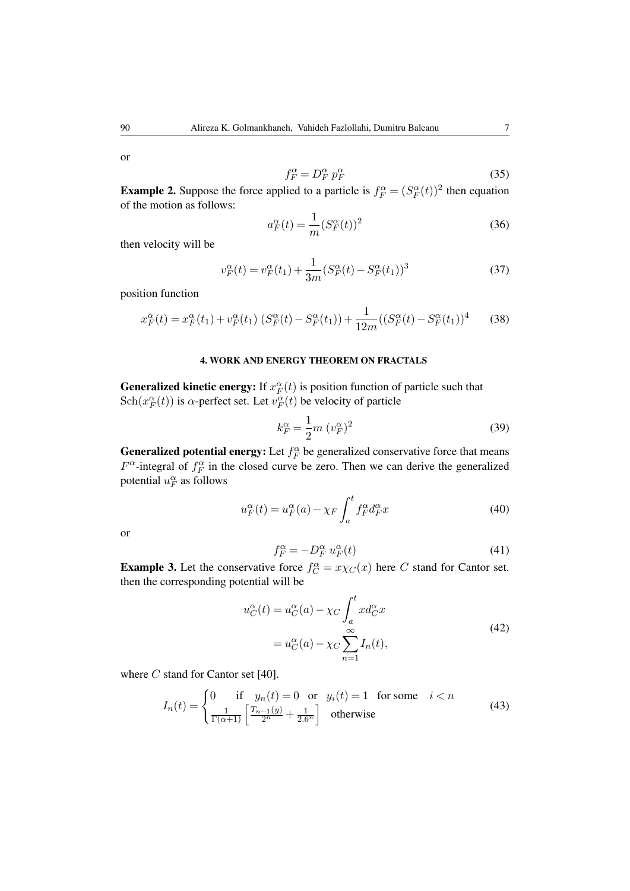or

$$
f_F^{\alpha} = D_F^{\alpha} p_F^{\alpha} \tag{35}
$$

**Example 2.** Suppose the force applied to a particle is  $f_F^{\alpha} = (S_F^{\alpha}(t))^2$  then equation of the motion as follows:

$$
a_F^{\alpha}(t) = \frac{1}{m} (S_F^{\alpha}(t))^2
$$
\n(36)

then velocity will be

$$
v_F^{\alpha}(t) = v_F^{\alpha}(t_1) + \frac{1}{3m} (S_F^{\alpha}(t) - S_F^{\alpha}(t_1))^3
$$
\n(37)

position function

$$
x_F^{\alpha}(t) = x_F^{\alpha}(t_1) + v_F^{\alpha}(t_1) \left( S_F^{\alpha}(t) - S_F^{\alpha}(t_1) \right) + \frac{1}{12m} \left( \left( S_F^{\alpha}(t) - S_F^{\alpha}(t_1) \right)^4 \tag{38}
$$

### 4. WORK AND ENERGY THEOREM ON FRACTALS

**Generalized kinetic energy:** If  $x_F^{\alpha}(t)$  is position function of particle such that Sch $(x_F^{\alpha}(t))$  is *α*-perfect set. Let  $v_F^{\alpha}(t)$  be velocity of particle

$$
k_F^{\alpha} = \frac{1}{2}m \ (v_F^{\alpha})^2
$$
 (39)

**Generalized potential energy:** Let  $f_F^{\alpha}$  be generalized conservative force that means  $F^{\alpha}$ -integral of  $f_F^{\alpha}$  in the closed curve be zero. Then we can derive the generalized potential  $u_F^{\alpha}$  as follows

$$
u_F^{\alpha}(t) = u_F^{\alpha}(a) - \chi_F \int_a^t f_F^{\alpha} d_F^{\alpha} x \tag{40}
$$

or

$$
f_F^{\alpha} = -D_F^{\alpha} u_F^{\alpha}(t)
$$
 (41)

**Example 3.** Let the conservative force  $f_C^{\alpha} = x \chi_C(x)$  here *C* stand for Cantor set. then the corresponding potential will be

$$
u_C^{\alpha}(t) = u_C^{\alpha}(a) - \chi_C \int_a^t x d_C^{\alpha} x
$$
  
=  $u_C^{\alpha}(a) - \chi_C \sum_{n=1}^{\infty} I_n(t)$ , (42)

where *C* stand for Cantor set [40].

$$
I_n(t) = \begin{cases} 0 & \text{if } y_n(t) = 0 \text{ or } y_i(t) = 1 \text{ for some } i < n \\ \frac{1}{\Gamma(\alpha+1)} \left[ \frac{T_{n-1}(y)}{2^n} + \frac{1}{2 \cdot 6^n} \right] & \text{otherwise} \end{cases}
$$
(43)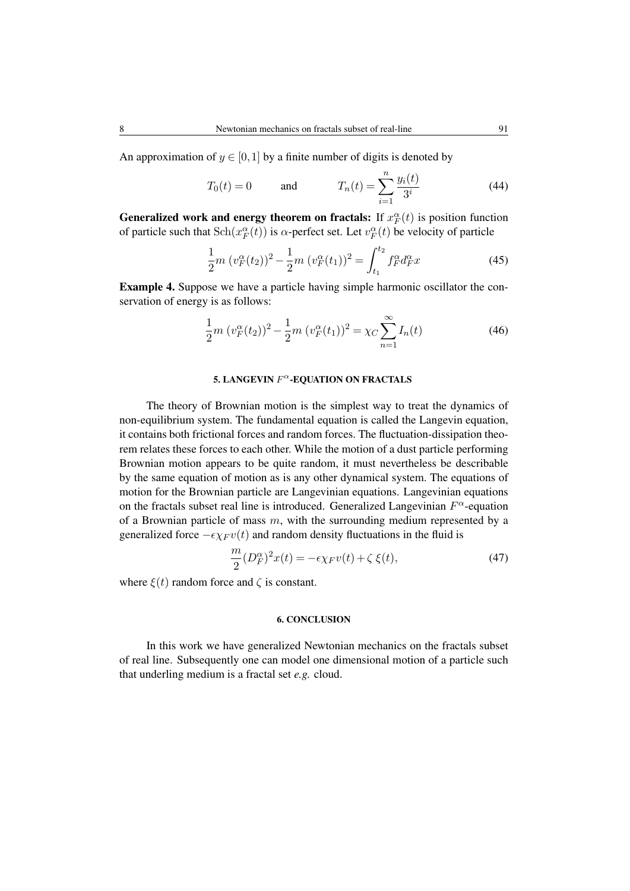An approximation of  $y \in [0,1]$  by a finite number of digits is denoted by

$$
T_0(t) = 0
$$
 and  $T_n(t) = \sum_{i=1}^n \frac{y_i(t)}{3^i}$  (44)

**Generalized work and energy theorem on fractals:** If  $x_F^{\alpha}(t)$  is position function of particle such that  $\text{Sch}(x_F^{\alpha}(t))$  is  $\alpha$ -perfect set. Let  $v_F^{\alpha}(t)$  be velocity of particle

$$
\frac{1}{2}m\ (v_F^{\alpha}(t_2))^2 - \frac{1}{2}m\ (v_F^{\alpha}(t_1))^2 = \int_{t_1}^{t_2} f_F^{\alpha} d_F^{\alpha} x \tag{45}
$$

Example 4. Suppose we have a particle having simple harmonic oscillator the conservation of energy is as follows:

$$
\frac{1}{2}m\ (v_F^{\alpha}(t_2))^2 - \frac{1}{2}m\ (v_F^{\alpha}(t_1))^2 = \chi_C \sum_{n=1}^{\infty} I_n(t)
$$
\n(46)

### 5. LANGEVIN  $F^{\alpha}$ -EQUATION ON FRACTALS

The theory of Brownian motion is the simplest way to treat the dynamics of non-equilibrium system. The fundamental equation is called the Langevin equation, it contains both frictional forces and random forces. The fluctuation-dissipation theorem relates these forces to each other. While the motion of a dust particle performing Brownian motion appears to be quite random, it must nevertheless be describable by the same equation of motion as is any other dynamical system. The equations of motion for the Brownian particle are Langevinian equations. Langevinian equations on the fractals subset real line is introduced. Generalized Langevinian *F <sup>α</sup>*-equation of a Brownian particle of mass *m*, with the surrounding medium represented by a generalized force  $-\epsilon \chi_F v(t)$  and random density fluctuations in the fluid is

$$
\frac{m}{2}(D_F^{\alpha})^2 x(t) = -\epsilon \chi_F v(t) + \zeta \xi(t),\tag{47}
$$

where  $\xi(t)$  random force and  $\zeta$  is constant.

## 6. CONCLUSION

In this work we have generalized Newtonian mechanics on the fractals subset of real line. Subsequently one can model one dimensional motion of a particle such that underling medium is a fractal set *e.g.* cloud.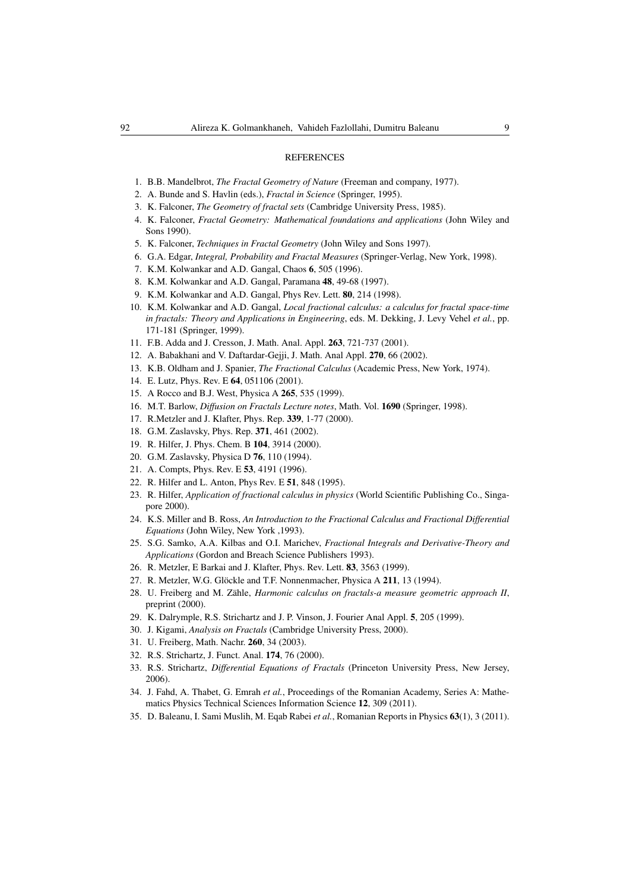#### **REFERENCES**

- 1. B.B. Mandelbrot, *The Fractal Geometry of Nature* (Freeman and company, 1977).
- 2. A. Bunde and S. Havlin (eds.), *Fractal in Science* (Springer, 1995).
- 3. K. Falconer, *The Geometry of fractal sets* (Cambridge University Press, 1985).
- 4. K. Falconer, *Fractal Geometry: Mathematical foundations and applications* (John Wiley and Sons 1990).
- 5. K. Falconer, *Techniques in Fractal Geometry* (John Wiley and Sons 1997).
- 6. G.A. Edgar, *Integral, Probability and Fractal Measures* (Springer-Verlag, New York, 1998).
- 7. K.M. Kolwankar and A.D. Gangal, Chaos 6, 505 (1996).
- 8. K.M. Kolwankar and A.D. Gangal, Paramana 48, 49-68 (1997).
- 9. K.M. Kolwankar and A.D. Gangal, Phys Rev. Lett. 80, 214 (1998).
- 10. K.M. Kolwankar and A.D. Gangal, *Local fractional calculus: a calculus for fractal space-time in fractals: Theory and Applications in Engineering*, eds. M. Dekking, J. Levy Vehel *et al.*, pp. 171-181 (Springer, 1999).
- 11. F.B. Adda and J. Cresson, J. Math. Anal. Appl. 263, 721-737 (2001).
- 12. A. Babakhani and V. Daftardar-Gejji, J. Math. Anal Appl. 270, 66 (2002).
- 13. K.B. Oldham and J. Spanier, *The Fractional Calculus* (Academic Press, New York, 1974).
- 14. E. Lutz, Phys. Rev. E 64, 051106 (2001).
- 15. A Rocco and B.J. West, Physica A 265, 535 (1999).
- 16. M.T. Barlow, *Diffusion on Fractals Lecture notes*, Math. Vol. 1690 (Springer, 1998).
- 17. R.Metzler and J. Klafter, Phys. Rep. 339, 1-77 (2000).
- 18. G.M. Zaslavsky, Phys. Rep. 371, 461 (2002).
- 19. R. Hilfer, J. Phys. Chem. B 104, 3914 (2000).
- 20. G.M. Zaslavsky, Physica D 76, 110 (1994).
- 21. A. Compts, Phys. Rev. E 53, 4191 (1996).
- 22. R. Hilfer and L. Anton, Phys Rev. E 51, 848 (1995).
- 23. R. Hilfer, *Application of fractional calculus in physics* (World Scientific Publishing Co., Singapore 2000).
- 24. K.S. Miller and B. Ross, *An Introduction to the Fractional Calculus and Fractional Differential Equations* (John Wiley, New York ,1993).
- 25. S.G. Samko, A.A. Kilbas and O.I. Marichev, *Fractional Integrals and Derivative-Theory and Applications* (Gordon and Breach Science Publishers 1993).
- 26. R. Metzler, E Barkai and J. Klafter, Phys. Rev. Lett. 83, 3563 (1999).
- 27. R. Metzler, W.G. Glöckle and T.F. Nonnenmacher, Physica A 211, 13 (1994).
- 28. U. Freiberg and M. Zähle, *Harmonic calculus on fractals-a measure geometric approach II*, preprint (2000).
- 29. K. Dalrymple, R.S. Strichartz and J. P. Vinson, J. Fourier Anal Appl. 5, 205 (1999).
- 30. J. Kigami, *Analysis on Fractals* (Cambridge University Press, 2000).
- 31. U. Freiberg, Math. Nachr. 260, 34 (2003).
- 32. R.S. Strichartz, J. Funct. Anal. 174, 76 (2000).
- 33. R.S. Strichartz, *Differential Equations of Fractals* (Princeton University Press, New Jersey, 2006).
- 34. J. Fahd, A. Thabet, G. Emrah *et al.*, Proceedings of the Romanian Academy, Series A: Mathematics Physics Technical Sciences Information Science 12, 309 (2011).
- 35. D. Baleanu, I. Sami Muslih, M. Eqab Rabei *et al.*, Romanian Reports in Physics 63(1), 3 (2011).